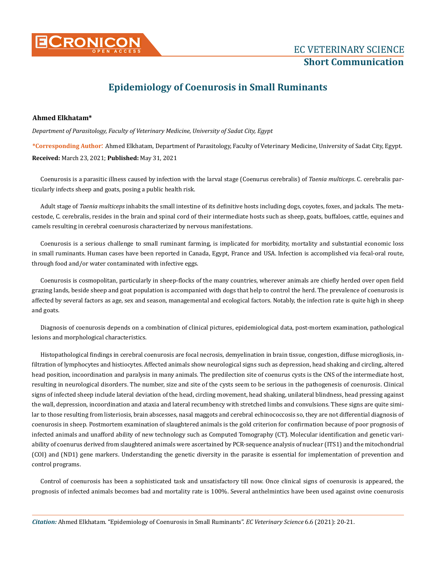

## **Epidemiology of Coenurosis in Small Ruminants**

## **Ahmed Elkhatam\***

*Department of Parasitology, Faculty of Veterinary Medicine, University of Sadat City, Egypt*

**\*Corresponding Author**: Ahmed Elkhatam, Department of Parasitology, Faculty of Veterinary Medicine, University of Sadat City, Egypt. **Received:** March 23, 2021; **Published:** May 31, 2021

Coenurosis is a parasitic illness caused by infection with the larval stage (Coenurus cerebralis) of *Taenia multiceps*. C. cerebralis particularly infects sheep and goats, posing a public health risk.

Adult stage of *Taenia multiceps* inhabits the small intestine of its definitive hosts including dogs, coyotes, foxes, and jackals. The metacestode, C. cerebralis, resides in the brain and spinal cord of their intermediate hosts such as sheep, goats, buffaloes, cattle, equines and camels resulting in cerebral coenurosis characterized by nervous manifestations.

Coenurosis is a serious challenge to small ruminant farming, is implicated for morbidity, mortality and substantial economic loss in small ruminants. Human cases have been reported in Canada, Egypt, France and USA. Infection is accomplished via fecal-oral route, through food and/or water contaminated with infective eggs.

Coenurosis is cosmopolitan, particularly in sheep-flocks of the many countries, wherever animals are chiefly herded over open field grazing lands, beside sheep and goat population is accompanied with dogs that help to control the herd. The prevalence of coenurosis is affected by several factors as age, sex and season, managemental and ecological factors. Notably, the infection rate is quite high in sheep and goats.

Diagnosis of coenurosis depends on a combination of clinical pictures, epidemiological data, post-mortem examination, pathological lesions and morphological characteristics.

Histopathological findings in cerebral coenurosis are focal necrosis, demyelination in brain tissue, congestion, diffuse microgliosis, infiltration of lymphocytes and histiocytes. Affected animals show neurological signs such as depression, head shaking and circling, altered head position, incoordination and paralysis in many animals. The predilection site of coenurus cysts is the CNS of the intermediate host, resulting in neurological disorders. The number, size and site of the cysts seem to be serious in the pathogenesis of coenurosis. Clinical signs of infected sheep include lateral deviation of the head, circling movement, head shaking, unilateral blindness, head pressing against the wall, depression, incoordination and ataxia and lateral recumbency with stretched limbs and convulsions. These signs are quite similar to those resulting from listeriosis, brain abscesses, nasal maggots and cerebral echinococcosis so, they are not differential diagnosis of coenurosis in sheep. Postmortem examination of slaughtered animals is the gold criterion for confirmation because of poor prognosis of infected animals and unafford ability of new technology such as Computed Tomography (CT). Molecular identification and genetic variability of coenurus derived from slaughtered animals were ascertained by PCR-sequence analysis of nuclear (ITS1) and the mitochondrial (COI) and (ND1) gene markers. Understanding the genetic diversity in the parasite is essential for implementation of prevention and control programs.

Control of coenurosis has been a sophisticated task and unsatisfactory till now. Once clinical signs of coenurosis is appeared, the prognosis of infected animals becomes bad and mortality rate is 100%. Several anthelmintics have been used against ovine coenurosis